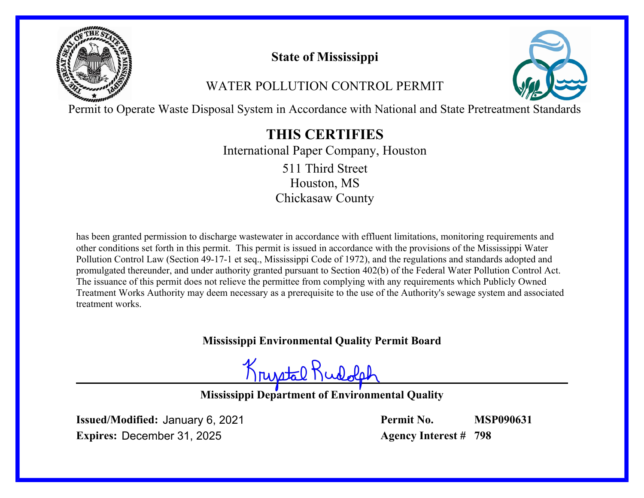

# **State of Mississippi**

# WATER POLLUTION CONTROL PERMIT



Permit to Operate Waste Disposal System in Accordance with National and State Pretreatment Standards

# **THIS CERTIFIES**

International Paper Company, Houston Houston, MS Chickasaw County 511 Third Street

has been granted permission to discharge wastewater in accordance with effluent limitations, monitoring requirements and other conditions set forth in this permit. This permit is issued in accordance with the provisions of the Mississippi Water Pollution Control Law (Section 49-17-1 et seq., Mississippi Code of 1972), and the regulations and standards adopted and promulgated thereunder, and under authority granted pursuant to Section 402(b) of the Federal Water Pollution Control Act. The issuance of this permit does not relieve the permittee from complying with any requirements which Publicly Owned Treatment Works Authority may deem necessary as a prerequisite to the use of the Authority's sewage system and associated treatment works.

## **Mississippi Environmental Quality Permit Board**

Krystal Rue

**Mississippi Department of Environmental Quality**

**Issued/Modified:** January 6, 2021 **Expires:** December 31, 2025

**Permit No. Agency Interest # 798 MSP090631**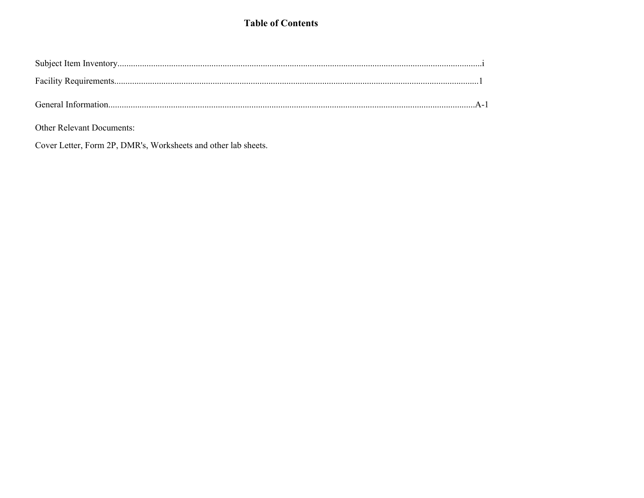### **Table of Contents**

| General Information |  |
|---------------------|--|

Other Relevant Documents:

Cover Letter, Form 2P, DMR's, Worksheets and other lab sheets.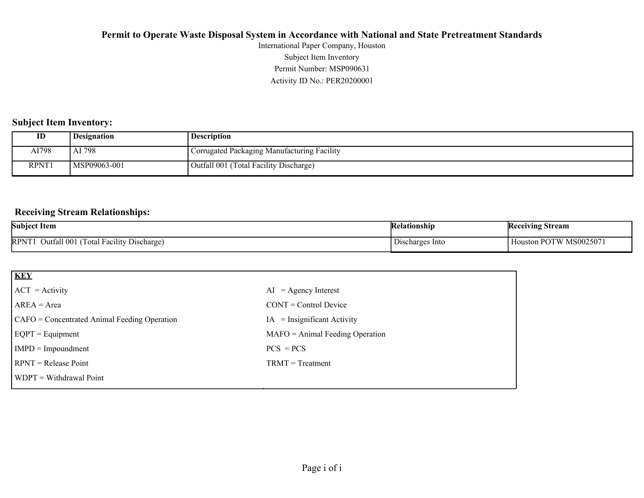Activity ID No.: PER20200001 Permit Number: MSP090631 Subject Item Inventory International Paper Company, Houston

### **Subject Item Inventory:**

| ID    | Designation  | <b>Description</b>                          |
|-------|--------------|---------------------------------------------|
| AI798 | AI 798       | Corrugated Packaging Manufacturing Facility |
| RPNT1 | MSP09063-001 | Outfall 001 (Total Facility Discharge)      |

### **Receiving Stream Relationships:**

| <b>Subject Item</b>                                                                                            | <b>Kelationship</b> | Receiving Stream               |
|----------------------------------------------------------------------------------------------------------------|---------------------|--------------------------------|
| $\cdots$<br>$\sim$<br>$\overline{\phantom{0}}$<br><b>RPNT</b><br>Jutfall 001<br>l Facility Discharge]<br>Total | Discharges Into     | MS002507<br>ГW<br>Houston<br>. |

| <b>KEY</b>                                   |                                   |
|----------------------------------------------|-----------------------------------|
| $ ACT = Activity$                            | $AI = Agency Interest$            |
| $AREA = Area$                                | $CONT = Control$ Device           |
| CAFO = Concentrated Animal Feeding Operation | $=$ Insignificant Activity<br>IA  |
| $EQPT = Equipment$                           | $MAFO = Animal Feeding Operation$ |
| $IMPD = Impoundment$                         | $PCS = PCs$                       |
| RPNT = Release Point                         | $TRMT = Treatment$                |
| WDPT = Withdrawal Point                      |                                   |
|                                              |                                   |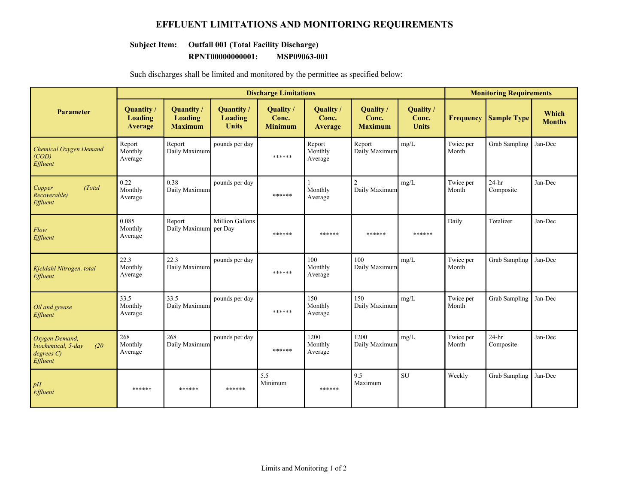### **EFFLUENT LIMITATIONS AND MONITORING REQUIREMENTS**

### **Subject Item: Outfall 001 (Total Facility Discharge)**

#### **RPNT00000000001: MSP09063-001**

| Such discharges shall be limited and monitored by the permittee as specified below: |  |  |
|-------------------------------------------------------------------------------------|--|--|
|                                                                                     |  |  |

|                                                                      |                                         | <b>Discharge Limitations</b>                          |                                            |                                      |                                      |                                             |                                    |                    | <b>Monitoring Requirements</b> |                        |
|----------------------------------------------------------------------|-----------------------------------------|-------------------------------------------------------|--------------------------------------------|--------------------------------------|--------------------------------------|---------------------------------------------|------------------------------------|--------------------|--------------------------------|------------------------|
| <b>Parameter</b>                                                     | <b>Quantity /</b><br>Loading<br>Average | <b>Quantity</b> /<br><b>Loading</b><br><b>Maximum</b> | <b>Quantity</b><br>Loading<br><b>Units</b> | Quality /<br>Conc.<br><b>Minimum</b> | Quality /<br>Conc.<br><b>Average</b> | <b>Quality</b> /<br>Conc.<br><b>Maximum</b> | Quality /<br>Conc.<br><b>Units</b> | <b>Frequency</b>   | <b>Sample Type</b>             | Which<br><b>Months</b> |
| <b>Chemical Oxygen Demand</b><br>(COD)<br>Effluent                   | Report<br>Monthly<br>Average            | Report<br>Daily Maximum                               | pounds per day                             | ******                               | Report<br>Monthly<br>Average         | Report<br>Daily Maximum                     | mg/L                               | Twice per<br>Month | <b>Grab Sampling</b>           | Jan-Dec                |
| Copper<br>(Total<br>Recoverable)<br>Effluent                         | 0.22<br>Monthly<br>Average              | 0.38<br>Daily Maximum                                 | pounds per day                             | ******                               | Monthly<br>Average                   | $\mathcal{D}_{\alpha}$<br>Daily Maximum     | mg/L                               | Twice per<br>Month | $24-hr$<br>Composite           | Jan-Dec                |
| Flow<br>Effluent                                                     | 0.085<br>Monthly<br>Average             | Report<br>Daily Maximum per Day                       | <b>Million Gallons</b>                     | ******                               | ******                               | ******                                      | ******                             | Daily              | Totalizer                      | Jan-Dec                |
| Kjeldahl Nitrogen, total<br>Effluent                                 | 22.3<br>Monthly<br>Average              | 22.3<br>Daily Maximum                                 | pounds per day                             | ******                               | 100<br>Monthly<br>Average            | 100<br>Daily Maximum                        | mg/L                               | Twice per<br>Month | Grab Sampling                  | Jan-Dec                |
| Oil and grease<br>Effluent                                           | 33.5<br>Monthly<br>Average              | 33.5<br>Daily Maximum                                 | pounds per day                             | ******                               | 150<br>Monthly<br>Average            | 150<br>Daily Maximum                        | mg/L                               | Twice per<br>Month | Grab Sampling                  | Jan-Dec                |
| Oxygen Demand,<br>biochemical, 5-day<br>(20)<br>degree C<br>Effluent | 268<br>Monthly<br>Average               | 268<br>Daily Maximum                                  | pounds per day                             | ******                               | 1200<br>Monthly<br>Average           | 1200<br>Daily Maximum                       | mg/L                               | Twice per<br>Month | $24-hr$<br>Composite           | Jan-Dec                |
| pH<br>Effluent                                                       | ******                                  | ******                                                | ******                                     | 5.5<br>Minimum                       | ******                               | 9.5<br>Maximum                              | <b>SU</b>                          | Weekly             | <b>Grab Sampling</b>           | Jan-Dec                |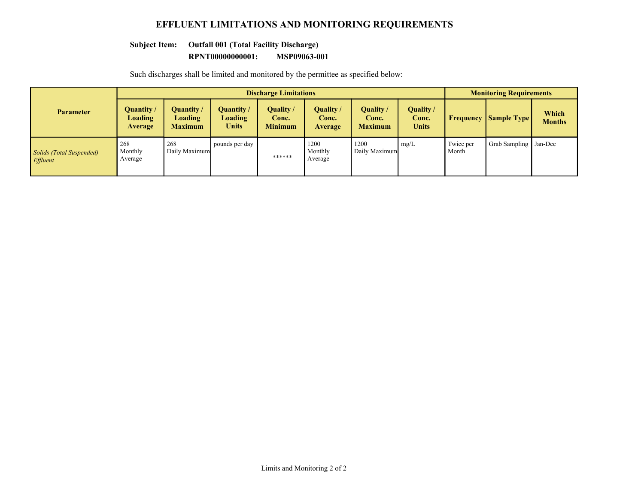### **EFFLUENT LIMITATIONS AND MONITORING REQUIREMENTS**

### **Subject Item: Outfall 001 (Total Facility Discharge)**

#### **RPNT00000000001: MSP09063-001**

Such discharges shall be limited and monitored by the permittee as specified below:

|                                      | <b>Discharge Limitations</b>           |                                         |                                              |                                     |                               |                                      |                                    | <b>Monitoring Requirements</b> |                         |                        |
|--------------------------------------|----------------------------------------|-----------------------------------------|----------------------------------------------|-------------------------------------|-------------------------------|--------------------------------------|------------------------------------|--------------------------------|-------------------------|------------------------|
| <b>Parameter</b>                     | Quantity/<br><b>Loading</b><br>Average | Quantity /<br>Loading<br><b>Maximum</b> | Quantity /<br><b>Loading</b><br><b>Units</b> | Quality/<br>Conc.<br><b>Minimum</b> | Quality /<br>Conc.<br>Average | Quality /<br>Conc.<br><b>Maximum</b> | Quality /<br>Conc.<br><b>Units</b> | Frequency                      | <b>Sample Type</b>      | Which<br><b>Months</b> |
| Solids (Total Suspended)<br>Effluent | 268<br>Monthly<br>Average              | 268<br>Daily Maximum                    | pounds per day                               | ******                              | 1200<br>Monthly<br>Average    | 1200<br>Daily Maximum                | mg/L                               | Twice per<br>Month             | Grab Sampling   Jan-Dec |                        |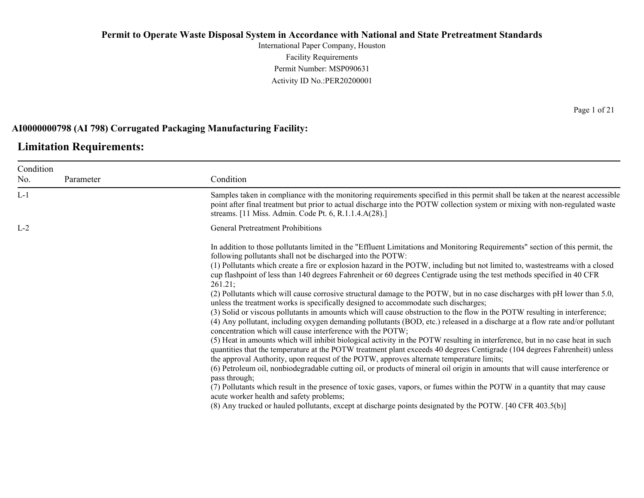International Paper Company, Houston Facility Requirements Permit Number: MSP090631 Activity ID No.:PER20200001

### **AI0000000798 (AI 798) Corrugated Packaging Manufacturing Facility:**

### **Limitation Requirements:**

| Condition |           |                                                                                                                                                                                                                                                                                                                                                        |
|-----------|-----------|--------------------------------------------------------------------------------------------------------------------------------------------------------------------------------------------------------------------------------------------------------------------------------------------------------------------------------------------------------|
| No.       | Parameter | Condition                                                                                                                                                                                                                                                                                                                                              |
| $L-1$     |           | Samples taken in compliance with the monitoring requirements specified in this permit shall be taken at the nearest accessible<br>point after final treatment but prior to actual discharge into the POTW collection system or mixing with non-regulated waste<br>streams. [11 Miss. Admin. Code Pt. 6, R.1.1.4.A(28).]                                |
| $L-2$     |           | <b>General Pretreatment Prohibitions</b>                                                                                                                                                                                                                                                                                                               |
|           |           | In addition to those pollutants limited in the "Effluent Limitations and Monitoring Requirements" section of this permit, the<br>following pollutants shall not be discharged into the POTW:                                                                                                                                                           |
|           |           | (1) Pollutants which create a fire or explosion hazard in the POTW, including but not limited to, wastestreams with a closed<br>cup flashpoint of less than 140 degrees Fahrenheit or 60 degrees Centigrade using the test methods specified in 40 CFR<br>261.21:                                                                                      |
|           |           | (2) Pollutants which will cause corrosive structural damage to the POTW, but in no case discharges with pH lower than 5.0,<br>unless the treatment works is specifically designed to accommodate such discharges;                                                                                                                                      |
|           |           | (3) Solid or viscous pollutants in amounts which will cause obstruction to the flow in the POTW resulting in interference;<br>(4) Any pollutant, including oxygen demanding pollutants (BOD, etc.) released in a discharge at a flow rate and/or pollutant<br>concentration which will cause interference with the POTW;                               |
|           |           | (5) Heat in amounts which will inhibit biological activity in the POTW resulting in interference, but in no case heat in such<br>quantities that the temperature at the POTW treatment plant exceeds 40 degrees Centigrade (104 degrees Fahrenheit) unless<br>the approval Authority, upon request of the POTW, approves alternate temperature limits; |
|           |           | (6) Petroleum oil, nonbiodegradable cutting oil, or products of mineral oil origin in amounts that will cause interference or<br>pass through;                                                                                                                                                                                                         |
|           |           | (7) Pollutants which result in the presence of toxic gases, vapors, or fumes within the POTW in a quantity that may cause<br>acute worker health and safety problems;                                                                                                                                                                                  |
|           |           | (8) Any trucked or hauled pollutants, except at discharge points designated by the POTW. [40 CFR 403.5(b)]                                                                                                                                                                                                                                             |
|           |           |                                                                                                                                                                                                                                                                                                                                                        |

Page 1 of 21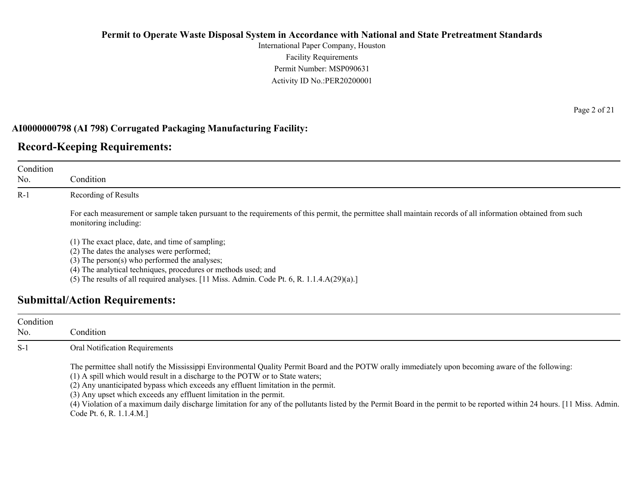International Paper Company, Houston Facility Requirements Permit Number: MSP090631 Activity ID No.:PER20200001

### **AI0000000798 (AI 798) Corrugated Packaging Manufacturing Facility:**

## **Record-Keeping Requirements:**

| Condition<br>No. | Condition                                                                                                                                                                                                                                                                                                            |
|------------------|----------------------------------------------------------------------------------------------------------------------------------------------------------------------------------------------------------------------------------------------------------------------------------------------------------------------|
| $R-1$            | Recording of Results                                                                                                                                                                                                                                                                                                 |
|                  | For each measurement or sample taken pursuant to the requirements of this permit, the permittee shall maintain records of all information obtained from such<br>monitoring including:                                                                                                                                |
|                  | (1) The exact place, date, and time of sampling;<br>(2) The dates the analyses were performed;<br>$(3)$ The person $(s)$ who performed the analyses;<br>(4) The analytical techniques, procedures or methods used; and<br>(5) The results of all required analyses. [11 Miss. Admin. Code Pt. 6, R. 1.1.4.A(29)(a).] |
|                  | <b>Submittal/Action Requirements:</b>                                                                                                                                                                                                                                                                                |

| Condition<br>No. | Condition                                                                                                                                                                                                                                                                                                                                                                                                                                                                                                                                                                                                 |
|------------------|-----------------------------------------------------------------------------------------------------------------------------------------------------------------------------------------------------------------------------------------------------------------------------------------------------------------------------------------------------------------------------------------------------------------------------------------------------------------------------------------------------------------------------------------------------------------------------------------------------------|
| $S-1$            | Oral Notification Requirements                                                                                                                                                                                                                                                                                                                                                                                                                                                                                                                                                                            |
|                  | The permittee shall notify the Mississippi Environmental Quality Permit Board and the POTW orally immediately upon becoming aware of the following:<br>(1) A spill which would result in a discharge to the POTW or to State waters;<br>(2) Any unanticipated bypass which exceeds any effluent limitation in the permit.<br>(3) Any upset which exceeds any effluent limitation in the permit.<br>(4) Violation of a maximum daily discharge limitation for any of the pollutants listed by the Permit Board in the permit to be reported within 24 hours. [11 Miss. Admin.]<br>Code Pt. 6, R. 1.1.4.M.] |

Page 2 of 21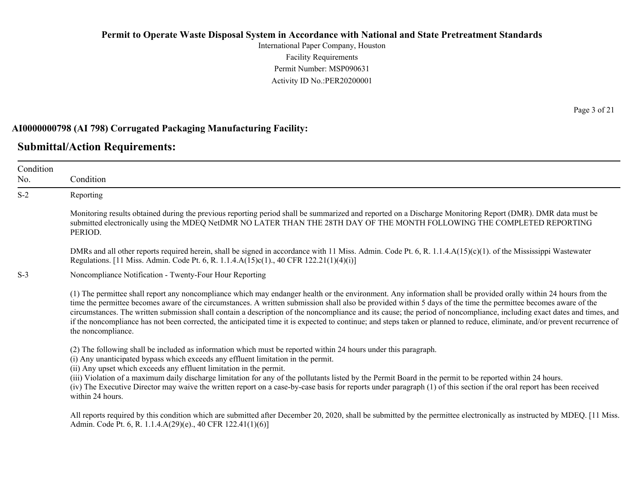International Paper Company, Houston Facility Requirements Permit Number: MSP090631 Activity ID No.:PER20200001

### **AI0000000798 (AI 798) Corrugated Packaging Manufacturing Facility:**

### **Submittal/Action Requirements:**

Condition No. Condition S-2 Reporting Monitoring results obtained during the previous reporting period shall be summarized and reported on a Discharge Monitoring Report (DMR). DMR data must be submitted electronically using the MDEQ NetDMR NO LATER THAN THE 28TH DAY OF THE MONTH FOLLOWING THE COMPLETED REPORTING PERIOD. DMRs and all other reports required herein, shall be signed in accordance with 11 Miss. Admin. Code Pt. 6, R. 1.1.4.A(15)(c)(1). of the Mississippi Wastewater Regulations. [11 Miss. Admin. Code Pt. 6, R. 1.1.4.A(15)c(1)., 40 CFR 122.21(1)(4)(i)] S-3 Noncompliance Notification - Twenty-Four Hour Reporting (1) The permittee shall report any noncompliance which may endanger health or the environment. Any information shall be provided orally within 24 hours from the time the permittee becomes aware of the circumstances. A written submission shall also be provided within 5 days of the time the permittee becomes aware of the circumstances. The written submission shall contain a description of the noncompliance and its cause; the period of noncompliance, including exact dates and times, and if the noncompliance has not been corrected, the anticipated time it is expected to continue; and steps taken or planned to reduce, eliminate, and/or prevent recurrence of the noncompliance. (2) The following shall be included as information which must be reported within 24 hours under this paragraph. (i) Any unanticipated bypass which exceeds any effluent limitation in the permit. (ii) Any upset which exceeds any effluent limitation in the permit. (iii) Violation of a maximum daily discharge limitation for any of the pollutants listed by the Permit Board in the permit to be reported within 24 hours. (iv) The Executive Director may waive the written report on a case-by-case basis for reports under paragraph (1) of this section if the oral report has been received within 24 hours. All reports required by this condition which are submitted after December 20, 2020, shall be submitted by the permittee electronically as instructed by MDEQ. [11 Miss.] Admin. Code Pt. 6, R. 1.1.4.A(29)(e)., 40 CFR 122.41(1)(6)]

Page 3 of 21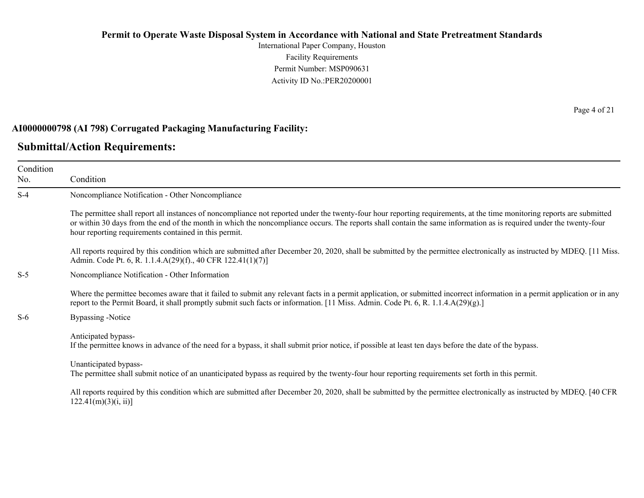International Paper Company, Houston Facility Requirements Permit Number: MSP090631 Activity ID No.:PER20200001

#### **AI0000000798 (AI 798) Corrugated Packaging Manufacturing Facility:**

### **Submittal/Action Requirements:**

Condition No. Condition S-4 Noncompliance Notification - Other Noncompliance The permittee shall report all instances of noncompliance not reported under the twenty-four hour reporting requirements, at the time monitoring reports are submitted or within 30 days from the end of the month in which the noncompliance occurs. The reports shall contain the same information as is required under the twenty-four hour reporting requirements contained in this permit. All reports required by this condition which are submitted after December 20, 2020, shall be submitted by the permittee electronically as instructed by MDEQ. [11 Miss. Admin. Code Pt. 6, R. 1.1.4.A(29)(f)., 40 CFR 122.41(1)(7)] S-5 Noncompliance Notification - Other Information Where the permittee becomes aware that it failed to submit any relevant facts in a permit application, or submitted incorrect information in a permit application or in any report to the Permit Board, it shall promptly submit such facts or information. [11 Miss. Admin. Code Pt. 6, R. 1.1.4.A(29)(g).] S-6 Bypassing -Notice Anticipated bypass-If the permittee knows in advance of the need for a bypass, it shall submit prior notice, if possible at least ten days before the date of the bypass. Unanticipated bypass-The permittee shall submit notice of an unanticipated bypass as required by the twenty-four hour reporting requirements set forth in this permit. All reports required by this condition which are submitted after December 20, 2020, shall be submitted by the permittee electronically as instructed by MDEQ. [40 CFR  $122.41(m)(3)(i, ii)$ ]

Page 4 of 21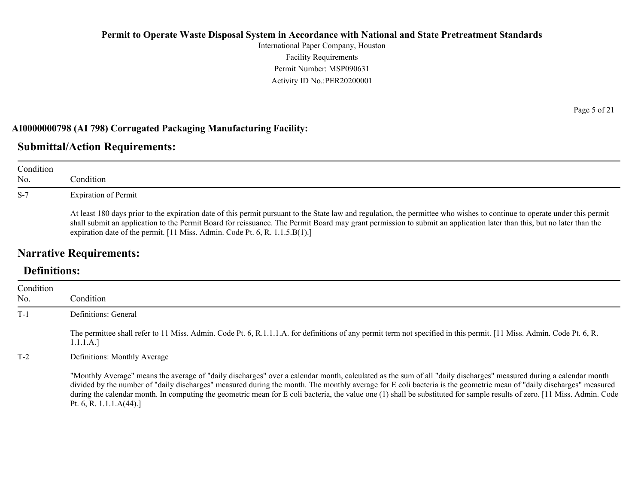International Paper Company, Houston Facility Requirements Permit Number: MSP090631 Activity ID No.:PER20200001

### **AI0000000798 (AI 798) Corrugated Packaging Manufacturing Facility:**

### **Submittal/Action Requirements:**

| Condition<br>No. | Condition                                                                                                                                                                                                                                                                                                                                                                                                                         |
|------------------|-----------------------------------------------------------------------------------------------------------------------------------------------------------------------------------------------------------------------------------------------------------------------------------------------------------------------------------------------------------------------------------------------------------------------------------|
| $S-7$            | <b>Expiration of Permit</b>                                                                                                                                                                                                                                                                                                                                                                                                       |
|                  | At least 180 days prior to the expiration date of this permit pursuant to the State law and regulation, the permittee who wishes to continue to operate under this permit<br>shall submit an application to the Permit Board for reissuance. The Permit Board may grant permission to submit an application later than this, but no later than the<br>expiration date of the permit. [11 Miss. Admin. Code Pt. 6, R. 1.1.5.B(1).] |

## **Narrative Requirements:**

## **Definitions:**

| Condition<br>No. | Condition                                                                                                                                                                                                                                                                                                                                                                                                                                                                                                                                           |
|------------------|-----------------------------------------------------------------------------------------------------------------------------------------------------------------------------------------------------------------------------------------------------------------------------------------------------------------------------------------------------------------------------------------------------------------------------------------------------------------------------------------------------------------------------------------------------|
| $T-1$            | Definitions: General                                                                                                                                                                                                                                                                                                                                                                                                                                                                                                                                |
|                  | The permittee shall refer to 11 Miss. Admin. Code Pt. 6, R.1.1.1.A. for definitions of any permit term not specified in this permit. [11 Miss. Admin. Code Pt. 6, R.<br>1.1.1.A.]                                                                                                                                                                                                                                                                                                                                                                   |
| $T-2$            | Definitions: Monthly Average                                                                                                                                                                                                                                                                                                                                                                                                                                                                                                                        |
|                  | "Monthly Average" means the average of "daily discharges" over a calendar month, calculated as the sum of all "daily discharges" measured during a calendar month<br>divided by the number of "daily discharges" measured during the month. The monthly average for E coli bacteria is the geometric mean of "daily discharges" measured<br>during the calendar month. In computing the geometric mean for E coli bacteria, the value one (1) shall be substituted for sample results of zero. [11 Miss. Admin. Code<br>Pt. 6, R. 1.1.1. $A(44)$ .] |

Page 5 of 21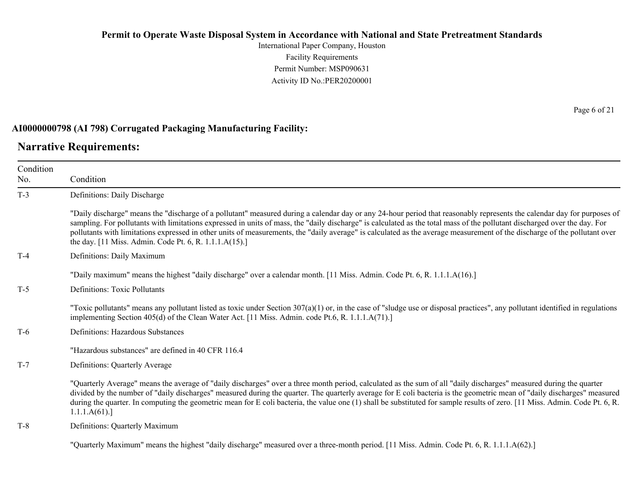International Paper Company, Houston Facility Requirements Permit Number: MSP090631 Activity ID No.:PER20200001

### **AI0000000798 (AI 798) Corrugated Packaging Manufacturing Facility:**

### **Narrative Requirements:**

Condition No. Condition T-3 Definitions: Daily Discharge "Daily discharge" means the "discharge of a pollutant" measured during a calendar day or any 24-hour period that reasonably represents the calendar day for purposes of sampling. For pollutants with limitations expressed in units of mass, the "daily discharge" is calculated as the total mass of the pollutant discharged over the day. For pollutants with limitations expressed in other units of measurements, the "daily average" is calculated as the average measurement of the discharge of the pollutant over the day. [11 Miss. Admin. Code Pt. 6, R. 1.1.1.A(15).] T-4 Definitions: Daily Maximum "Daily maximum" means the highest "daily discharge" over a calendar month. [11 Miss. Admin. Code Pt. 6, R. 1.1.1.A(16).] T-5 Definitions: Toxic Pollutants "Toxic pollutants" means any pollutant listed as toxic under Section  $307(a)(1)$  or, in the case of "sludge use or disposal practices", any pollutant identified in regulations implementing Section 405(d) of the Clean Water Act. [11 Miss. Admin. code Pt.6, R. 1.1.1.A(71).] T-6 Definitions: Hazardous Substances "Hazardous substances" are defined in 40 CFR 116.4 T-7 Definitions: Quarterly Average "Quarterly Average" means the average of "daily discharges" over a three month period, calculated as the sum of all "daily discharges" measured during the quarter divided by the number of "daily discharges" measured during the quarter. The quarterly average for E coli bacteria is the geometric mean of "daily discharges" measured during the quarter. In computing the geometric mean for E coli bacteria, the value one (1) shall be substituted for sample results of zero. [11 Miss. Admin. Code Pt. 6, R. 1.1.1.A(61).] T-8 Definitions: Quarterly Maximum

"Quarterly Maximum" means the highest "daily discharge" measured over a three-month period. [11 Miss. Admin. Code Pt. 6, R. 1.1.1.A(62).]

Page 6 of 21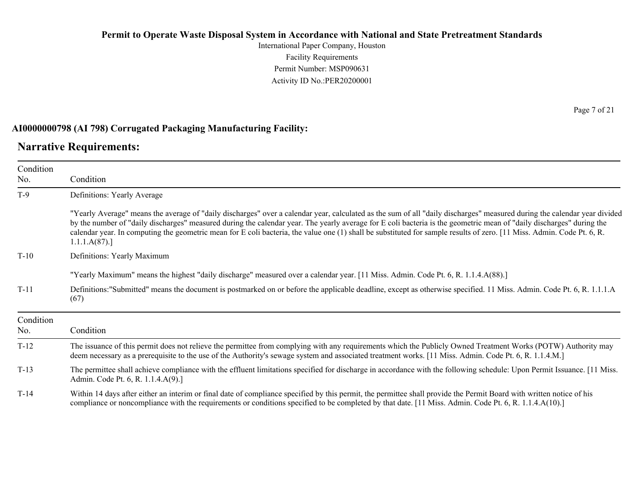International Paper Company, Houston Facility Requirements Permit Number: MSP090631 Activity ID No.:PER20200001

### **AI0000000798 (AI 798) Corrugated Packaging Manufacturing Facility:**

### **Narrative Requirements:**

| Condition        |                                                                                                                                                                                                                                                                                                                                                                                                                                                                                                                                            |  |  |
|------------------|--------------------------------------------------------------------------------------------------------------------------------------------------------------------------------------------------------------------------------------------------------------------------------------------------------------------------------------------------------------------------------------------------------------------------------------------------------------------------------------------------------------------------------------------|--|--|
| No.              | Condition                                                                                                                                                                                                                                                                                                                                                                                                                                                                                                                                  |  |  |
| $T-9$            | Definitions: Yearly Average                                                                                                                                                                                                                                                                                                                                                                                                                                                                                                                |  |  |
|                  | "Yearly Average" means the average of "daily discharges" over a calendar year, calculated as the sum of all "daily discharges" measured during the calendar year divided<br>by the number of "daily discharges" measured during the calendar year. The yearly average for E coli bacteria is the geometric mean of "daily discharges" during the<br>calendar year. In computing the geometric mean for E coli bacteria, the value one (1) shall be substituted for sample results of zero. [11 Miss. Admin. Code Pt. 6, R.<br>1.1.1.A(87). |  |  |
| $T-10$           | Definitions: Yearly Maximum                                                                                                                                                                                                                                                                                                                                                                                                                                                                                                                |  |  |
|                  | "Yearly Maximum" means the highest "daily discharge" measured over a calendar year. [11 Miss. Admin. Code Pt. 6, R. 1.1.4.A(88).]                                                                                                                                                                                                                                                                                                                                                                                                          |  |  |
| $T-11$           | Definitions:"Submitted" means the document is postmarked on or before the applicable deadline, except as otherwise specified. 11 Miss. Admin. Code Pt. 6, R. 1.1.1.A<br>(67)                                                                                                                                                                                                                                                                                                                                                               |  |  |
| Condition<br>No. | Condition                                                                                                                                                                                                                                                                                                                                                                                                                                                                                                                                  |  |  |
| $T-12$           | The issuance of this permit does not relieve the permittee from complying with any requirements which the Publicly Owned Treatment Works (POTW) Authority may<br>deem necessary as a prerequisite to the use of the Authority's sewage system and associated treatment works. [11 Miss. Admin. Code Pt. 6, R. 1.1.4.M.]                                                                                                                                                                                                                    |  |  |
| $T-13$           | The permittee shall achieve compliance with the effluent limitations specified for discharge in accordance with the following schedule: Upon Permit Issuance. [11 Miss.]<br>Admin. Code Pt. 6, R. 1.1.4.A(9).]                                                                                                                                                                                                                                                                                                                             |  |  |
| $T-14$           | Within 14 days after either an interim or final date of compliance specified by this permit, the permittee shall provide the Permit Board with written notice of his<br>compliance or noncompliance with the requirements or conditions specified to be completed by that date. [11 Miss. Admin. Code Pt. 6, R. 1.1.4.A(10).]                                                                                                                                                                                                              |  |  |

Page 7 of 21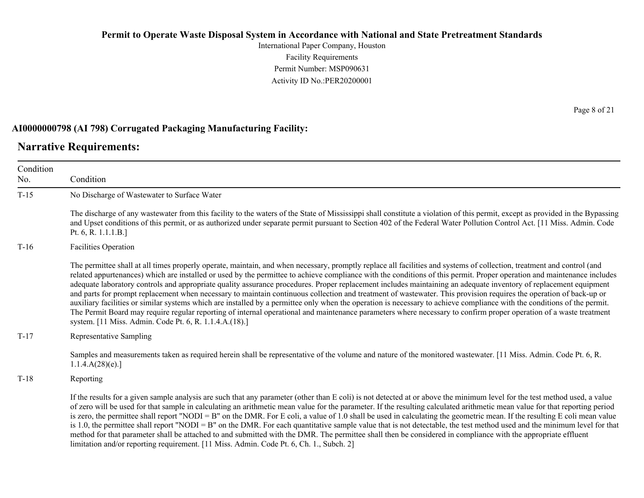International Paper Company, Houston Facility Requirements Permit Number: MSP090631 Activity ID No.:PER20200001

### **AI0000000798 (AI 798) Corrugated Packaging Manufacturing Facility:**

### **Narrative Requirements:**

Condition No. Condition T-15 No Discharge of Wastewater to Surface Water The discharge of any wastewater from this facility to the waters of the State of Mississippi shall constitute a violation of this permit, except as provided in the Bypassing and Upset conditions of this permit, or as authorized under separate permit pursuant to Section 402 of the Federal Water Pollution Control Act. [11 Miss. Admin. Code Pt. 6, R. 1.1.1.B.] T-16 Facilities Operation The permittee shall at all times properly operate, maintain, and when necessary, promptly replace all facilities and systems of collection, treatment and control (and related appurtenances) which are installed or used by the permittee to achieve compliance with the conditions of this permit. Proper operation and maintenance includes adequate laboratory controls and appropriate quality assurance procedures. Proper replacement includes maintaining an adequate inventory of replacement equipment and parts for prompt replacement when necessary to maintain continuous collection and treatment of wastewater. This provision requires the operation of back-up or auxiliary facilities or similar systems which are installed by a permittee only when the operation is necessary to achieve compliance with the conditions of the permit. The Permit Board may require regular reporting of internal operational and maintenance parameters where necessary to confirm proper operation of a waste treatment system. [11 Miss. Admin. Code Pt. 6, R. 1.1.4.A.(18).] T-17 Representative Sampling Samples and measurements taken as required herein shall be representative of the volume and nature of the monitored wastewater. [11 Miss. Admin. Code Pt. 6, R.  $1.1.4.A(28)(e).$ T-18 Reporting If the results for a given sample analysis are such that any parameter (other than E coli) is not detected at or above the minimum level for the test method used, a value of zero will be used for that sample in calculating an arithmetic mean value for the parameter. If the resulting calculated arithmetic mean value for that reporting period is zero, the permittee shall report "NODI = B" on the DMR. For E coli, a value of 1.0 shall be used in calculating the geometric mean. If the resulting E coli mean value is 1.0, the permittee shall report "NODI = B" on the DMR. For each quantitative sample value that is not detectable, the test method used and the minimum level for that method for that parameter shall be attached to and submitted with the DMR. The permittee shall then be considered in compliance with the appropriate effluent limitation and/or reporting requirement. [11 Miss. Admin. Code Pt. 6, Ch. 1., Subch. 2]

Page 8 of 21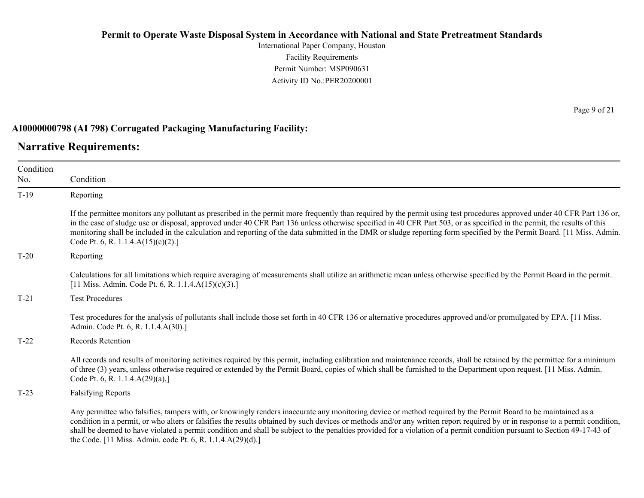International Paper Company, Houston Facility Requirements Permit Number: MSP090631 Activity ID No.:PER20200001

### **AI0000000798 (AI 798) Corrugated Packaging Manufacturing Facility:**

### **Narrative Requirements:**

Condition No. Condition T-19 Reporting If the permittee monitors any pollutant as prescribed in the permit more frequently than required by the permit using test procedures approved under 40 CFR Part 136 or, in the case of sludge use or disposal, approved under 40 CFR Part 136 unless otherwise specified in 40 CFR Part 503, or as specified in the permit, the results of this monitoring shall be included in the calculation and reporting of the data submitted in the DMR or sludge reporting form specified by the Permit Board. [11 Miss. Admin. Code Pt. 6, R. 1.1.4.A(15)(c)(2).] T-20 Reporting Calculations for all limitations which require averaging of measurements shall utilize an arithmetic mean unless otherwise specified by the Permit Board in the permit. [11 Miss. Admin. Code Pt. 6, R. 1.1.4.A(15)(c)(3).] T-21 Test Procedures Test procedures for the analysis of pollutants shall include those set forth in 40 CFR 136 or alternative procedures approved and/or promulgated by EPA. [11 Miss. Admin. Code Pt. 6, R. 1.1.4.A(30).] T-22 Records Retention All records and results of monitoring activities required by this permit, including calibration and maintenance records, shall be retained by the permittee for a minimum of three (3) years, unless otherwise required or extended by the Permit Board, copies of which shall be furnished to the Department upon request. [11 Miss. Admin. Code Pt. 6, R. 1.1.4.A(29)(a).] T-23 Falsifying Reports Any permittee who falsifies, tampers with, or knowingly renders inaccurate any monitoring device or method required by the Permit Board to be maintained as a condition in a permit, or who alters or falsifies the results obtained by such devices or methods and/or any written report required by or in response to a permit condition, shall be deemed to have violated a permit condition and shall be subject to the penalties provided for a violation of a permit condition pursuant to Section 49-17-43 of

the Code. [11 Miss. Admin. code Pt. 6, R. 1.1.4.A(29)(d).]

Page 9 of 21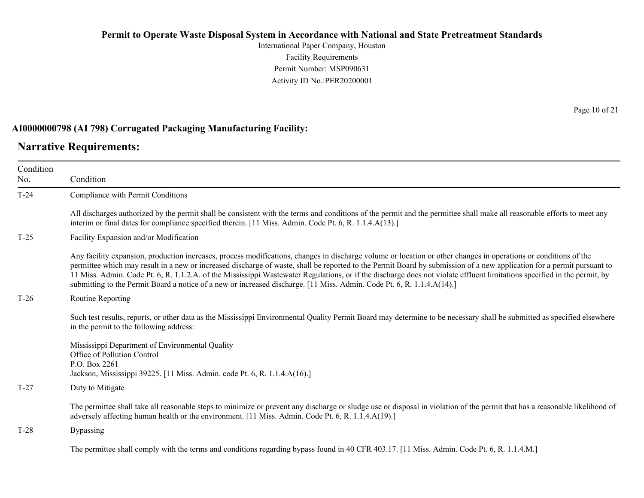International Paper Company, Houston Facility Requirements Permit Number: MSP090631 Activity ID No.:PER20200001

### **AI0000000798 (AI 798) Corrugated Packaging Manufacturing Facility:**

### **Narrative Requirements:**

| Condition<br>No. | Condition                                                                                                                                                                                                                                                                                                                                                                                                                                                                                                                                                                                                                                        |  |  |
|------------------|--------------------------------------------------------------------------------------------------------------------------------------------------------------------------------------------------------------------------------------------------------------------------------------------------------------------------------------------------------------------------------------------------------------------------------------------------------------------------------------------------------------------------------------------------------------------------------------------------------------------------------------------------|--|--|
| $T-24$           | Compliance with Permit Conditions                                                                                                                                                                                                                                                                                                                                                                                                                                                                                                                                                                                                                |  |  |
|                  | All discharges authorized by the permit shall be consistent with the terms and conditions of the permit and the permittee shall make all reasonable efforts to meet any<br>interim or final dates for compliance specified therein. [11 Miss. Admin. Code Pt. 6, R. 1.1.4.A(13).]                                                                                                                                                                                                                                                                                                                                                                |  |  |
| $T-25$           | Facility Expansion and/or Modification                                                                                                                                                                                                                                                                                                                                                                                                                                                                                                                                                                                                           |  |  |
|                  | Any facility expansion, production increases, process modifications, changes in discharge volume or location or other changes in operations or conditions of the<br>permittee which may result in a new or increased discharge of waste, shall be reported to the Permit Board by submission of a new application for a permit pursuant to<br>11 Miss. Admin. Code Pt. 6, R. 1.1.2.A. of the Mississippi Wastewater Regulations, or if the discharge does not violate effluent limitations specified in the permit, by<br>submitting to the Permit Board a notice of a new or increased discharge. [11 Miss. Admin. Code Pt. 6, R. 1.1.4.A(14).] |  |  |
| $T-26$           | Routine Reporting                                                                                                                                                                                                                                                                                                                                                                                                                                                                                                                                                                                                                                |  |  |
|                  | Such test results, reports, or other data as the Mississippi Environmental Quality Permit Board may determine to be necessary shall be submitted as specified elsewhere<br>in the permit to the following address:                                                                                                                                                                                                                                                                                                                                                                                                                               |  |  |
|                  | Mississippi Department of Environmental Quality<br>Office of Pollution Control<br>P.O. Box 2261<br>Jackson, Mississippi 39225. [11 Miss. Admin. code Pt. 6, R. 1.1.4.A(16).]                                                                                                                                                                                                                                                                                                                                                                                                                                                                     |  |  |
| $T-27$           | Duty to Mitigate                                                                                                                                                                                                                                                                                                                                                                                                                                                                                                                                                                                                                                 |  |  |
|                  | The permittee shall take all reasonable steps to minimize or prevent any discharge or sludge use or disposal in violation of the permit that has a reasonable likelihood of<br>adversely affecting human health or the environment. [11 Miss. Admin. Code Pt. 6, R. 1.1.4.A(19).]                                                                                                                                                                                                                                                                                                                                                                |  |  |
| $T-28$           | <b>Bypassing</b>                                                                                                                                                                                                                                                                                                                                                                                                                                                                                                                                                                                                                                 |  |  |
|                  | The permittee shall comply with the terms and conditions regarding bypass found in 40 CFR 403.17. [11 Miss. Admin. Code Pt. 6, R. 1.1.4.M.]                                                                                                                                                                                                                                                                                                                                                                                                                                                                                                      |  |  |

Page 10 of 21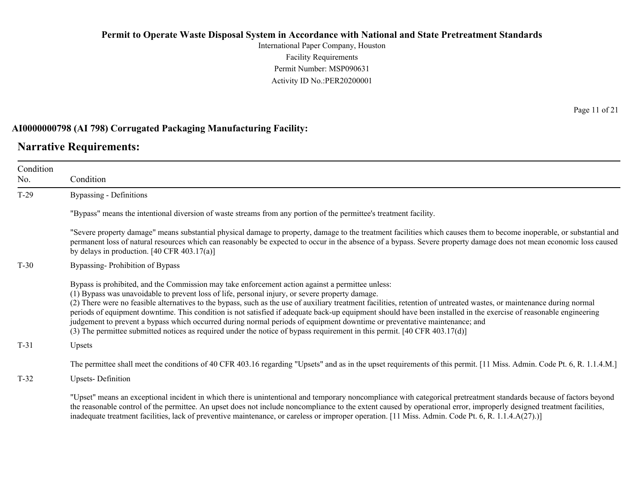International Paper Company, Houston Facility Requirements Permit Number: MSP090631 Activity ID No.:PER20200001

### **AI0000000798 (AI 798) Corrugated Packaging Manufacturing Facility:**

### **Narrative Requirements:**

Condition No. Condition T-29 Bypassing - Definitions "Bypass" means the intentional diversion of waste streams from any portion of the permittee's treatment facility. "Severe property damage" means substantial physical damage to property, damage to the treatment facilities which causes them to become inoperable, or substantial and permanent loss of natural resources which can reasonably be expected to occur in the absence of a bypass. Severe property damage does not mean economic loss caused by delays in production. [40 CFR 403.17(a)] T-30 Bypassing- Prohibition of Bypass Bypass is prohibited, and the Commission may take enforcement action against a permittee unless: (1) Bypass was unavoidable to prevent loss of life, personal injury, or severe property damage. (2) There were no feasible alternatives to the bypass, such as the use of auxiliary treatment facilities, retention of untreated wastes, or maintenance during normal periods of equipment downtime. This condition is not satisfied if adequate back-up equipment should have been installed in the exercise of reasonable engineering judgement to prevent a bypass which occurred during normal periods of equipment downtime or preventative maintenance; and (3) The permittee submitted notices as required under the notice of bypass requirement in this permit. [40 CFR 403.17(d)] T-31 Upsets The permittee shall meet the conditions of 40 CFR 403.16 regarding "Upsets" and as in the upset requirements of this permit. [11 Miss. Admin. Code Pt. 6, R. 1.1.4.M.] T-32 Upsets- Definition

"Upset" means an exceptional incident in which there is unintentional and temporary noncompliance with categorical pretreatment standards because of factors beyond the reasonable control of the permittee. An upset does not include noncompliance to the extent caused by operational error, improperly designed treatment facilities, inadequate treatment facilities, lack of preventive maintenance, or careless or improper operation. [11 Miss. Admin. Code Pt. 6, R. 1.1.4.A(27).)]

Page 11 of 21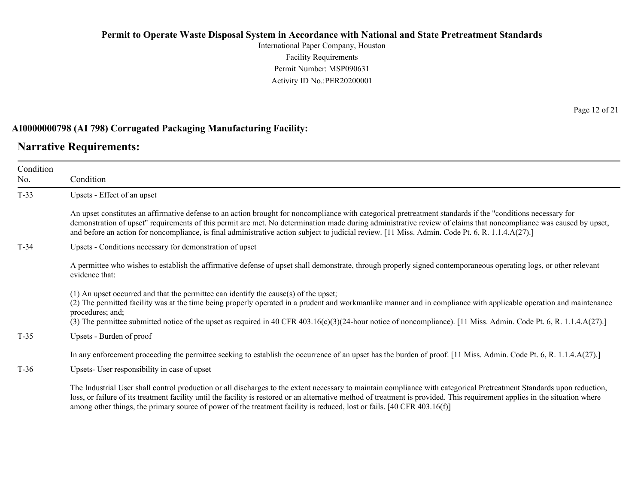International Paper Company, Houston Facility Requirements Permit Number: MSP090631 Activity ID No.:PER20200001

### **AI0000000798 (AI 798) Corrugated Packaging Manufacturing Facility:**

### **Narrative Requirements:**

Condition No. Condition T-33 Upsets - Effect of an upset An upset constitutes an affirmative defense to an action brought for noncompliance with categorical pretreatment standards if the "conditions necessary for demonstration of upset" requirements of this permit are met. No determination made during administrative review of claims that noncompliance was caused by upset, and before an action for noncompliance, is final administrative action subject to judicial review. [11 Miss. Admin. Code Pt. 6, R. 1.1.4.A(27).] T-34 Upsets - Conditions necessary for demonstration of upset A permittee who wishes to establish the affirmative defense of upset shall demonstrate, through properly signed contemporaneous operating logs, or other relevant evidence that: (1) An upset occurred and that the permittee can identify the cause(s) of the upset; (2) The permitted facility was at the time being properly operated in a prudent and workmanlike manner and in compliance with applicable operation and maintenance procedures; and; (3) The permittee submitted notice of the upset as required in 40 CFR 403.16(c)(3)(24-hour notice of noncompliance). [11 Miss. Admin. Code Pt. 6, R. 1.1.4.A(27).] T-35 Upsets - Burden of proof In any enforcement proceeding the permittee seeking to establish the occurrence of an upset has the burden of proof. [11 Miss. Admin. Code Pt. 6, R. 1.1.4.A(27).] T-36 Upsets- User responsibility in case of upset

The Industrial User shall control production or all discharges to the extent necessary to maintain compliance with categorical Pretreatment Standards upon reduction, loss, or failure of its treatment facility until the facility is restored or an alternative method of treatment is provided. This requirement applies in the situation where among other things, the primary source of power of the treatment facility is reduced, lost or fails. [40 CFR 403.16(f)]

Page 12 of 21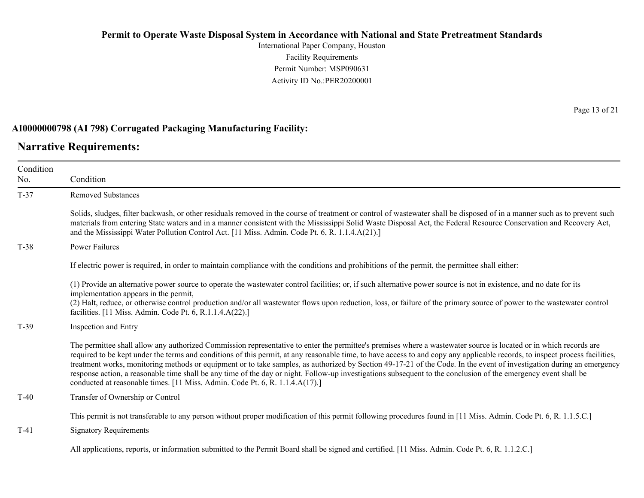International Paper Company, Houston Facility Requirements Permit Number: MSP090631 Activity ID No.:PER20200001

### **AI0000000798 (AI 798) Corrugated Packaging Manufacturing Facility:**

### **Narrative Requirements:**

Condition No.

Condition T-37 Removed Substances Solids, sludges, filter backwash, or other residuals removed in the course of treatment or control of wastewater shall be disposed of in a manner such as to prevent such materials from entering State waters and in a manner consistent with the Mississippi Solid Waste Disposal Act, the Federal Resource Conservation and Recovery Act, and the Mississippi Water Pollution Control Act. [11 Miss. Admin. Code Pt. 6, R. 1.1.4.A(21).] T-38 Power Failures If electric power is required, in order to maintain compliance with the conditions and prohibitions of the permit, the permittee shall either: (1) Provide an alternative power source to operate the wastewater control facilities; or, if such alternative power source is not in existence, and no date for its implementation appears in the permit, (2) Halt, reduce, or otherwise control production and/or all wastewater flows upon reduction, loss, or failure of the primary source of power to the wastewater control facilities. [11 Miss. Admin. Code Pt. 6, R.1.1.4.A(22).] T-39 Inspection and Entry The permittee shall allow any authorized Commission representative to enter the permittee's premises where a wastewater source is located or in which records are required to be kept under the terms and conditions of this permit, at any reasonable time, to have access to and copy any applicable records, to inspect process facilities,

treatment works, monitoring methods or equipment or to take samples, as authorized by Section 49-17-21 of the Code. In the event of investigation during an emergency response action, a reasonable time shall be any time of the day or night. Follow-up investigations subsequent to the conclusion of the emergency event shall be conducted at reasonable times. [11 Miss. Admin. Code Pt. 6, R. 1.1.4.A(17).]

T-40 Transfer of Ownership or Control

This permit is not transferable to any person without proper modification of this permit following procedures found in [11 Miss. Admin. Code Pt. 6, R. 1.1.5.C.]

T-41 Signatory Requirements

All applications, reports, or information submitted to the Permit Board shall be signed and certified. [11 Miss. Admin. Code Pt. 6, R. 1.1.2.C.]

Page 13 of 21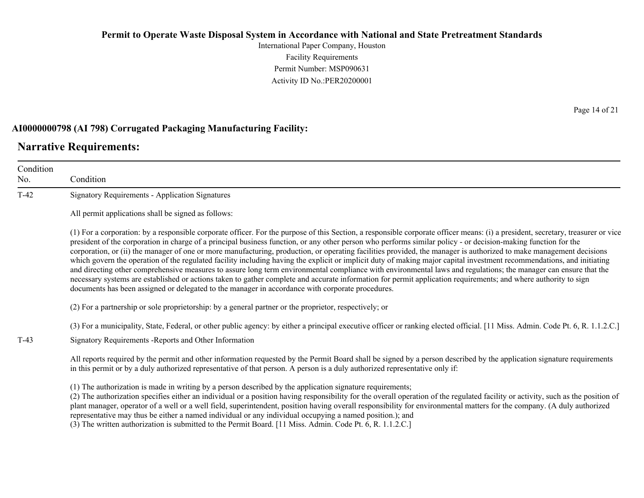International Paper Company, Houston Facility Requirements Permit Number: MSP090631 Activity ID No.:PER20200001

### **AI0000000798 (AI 798) Corrugated Packaging Manufacturing Facility:**

### **Narrative Requirements:**

Condition No. Condition T-42 Signatory Requirements - Application Signatures All permit applications shall be signed as follows: (1) For a corporation: by a responsible corporate officer. For the purpose of this Section, a responsible corporate officer means: (i) a president, secretary, treasurer or vice president of the corporation in charge of a principal business function, or any other person who performs similar policy - or decision-making function for the corporation, or (ii) the manager of one or more manufacturing, production, or operating facilities provided, the manager is authorized to make management decisions which govern the operation of the regulated facility including having the explicit or implicit duty of making major capital investment recommendations, and initiating and directing other comprehensive measures to assure long term environmental compliance with environmental laws and regulations; the manager can ensure that the necessary systems are established or actions taken to gather complete and accurate information for permit application requirements; and where authority to sign documents has been assigned or delegated to the manager in accordance with corporate procedures. (2) For a partnership or sole proprietorship: by a general partner or the proprietor, respectively; or (3) For a municipality, State, Federal, or other public agency: by either a principal executive officer or ranking elected official. [11 Miss. Admin. Code Pt. 6, R. 1.1.2.C.] T-43 Signatory Requirements -Reports and Other Information All reports required by the permit and other information requested by the Permit Board shall be signed by a person described by the application signature requirements in this permit or by a duly authorized representative of that person. A person is a duly authorized representative only if: (1) The authorization is made in writing by a person described by the application signature requirements; (2) The authorization specifies either an individual or a position having responsibility for the overall operation of the regulated facility or activity, such as the position of plant manager, operator of a well or a well field, superintendent, position having overall responsibility for environmental matters for the company. (A duly authorized

representative may thus be either a named individual or any individual occupying a named position.); and

(3) The written authorization is submitted to the Permit Board. [11 Miss. Admin. Code Pt. 6, R. 1.1.2.C.]

Page 14 of 21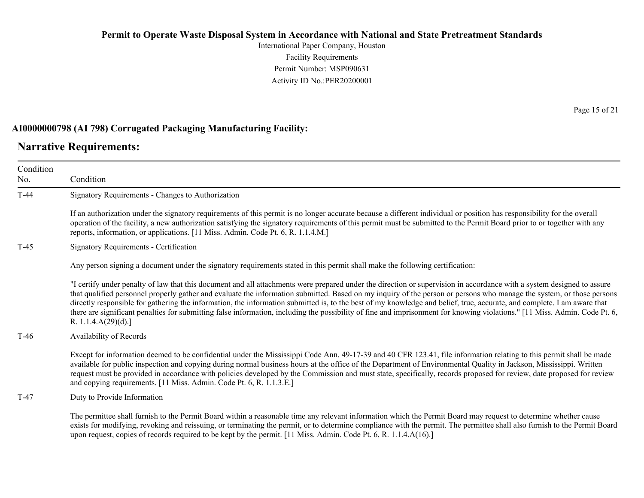International Paper Company, Houston Facility Requirements Permit Number: MSP090631 Activity ID No.:PER20200001

### **AI0000000798 (AI 798) Corrugated Packaging Manufacturing Facility:**

### **Narrative Requirements:**

Condition No. Condition T-44 Signatory Requirements - Changes to Authorization If an authorization under the signatory requirements of this permit is no longer accurate because a different individual or position has responsibility for the overall operation of the facility, a new authorization satisfying the signatory requirements of this permit must be submitted to the Permit Board prior to or together with any reports, information, or applications. [11 Miss. Admin. Code Pt. 6, R. 1.1.4.M.] T-45 Signatory Requirements - Certification Any person signing a document under the signatory requirements stated in this permit shall make the following certification: "I certify under penalty of law that this document and all attachments were prepared under the direction or supervision in accordance with a system designed to assure that qualified personnel properly gather and evaluate the information submitted. Based on my inquiry of the person or persons who manage the system, or those persons directly responsible for gathering the information, the information submitted is, to the best of my knowledge and belief, true, accurate, and complete. I am aware that there are significant penalties for submitting false information, including the possibility of fine and imprisonment for knowing violations." [11 Miss. Admin. Code Pt. 6, R. 1.1.4.A(29)(d).] T-46 Availability of Records Except for information deemed to be confidential under the Mississippi Code Ann. 49-17-39 and 40 CFR 123.41, file information relating to this permit shall be made available for public inspection and copying during normal business hours at the office of the Department of Environmental Quality in Jackson, Mississippi. Written request must be provided in accordance with policies developed by the Commission and must state, specifically, records proposed for review, date proposed for review and copying requirements. [11 Miss. Admin. Code Pt. 6, R. 1.1.3.E.] T-47 Duty to Provide Information The permittee shall furnish to the Permit Board within a reasonable time any relevant information which the Permit Board may request to determine whether cause exists for modifying, revoking and reissuing, or terminating the permit, or to determine compliance with the permit. The permittee shall also furnish to the Permit Board

upon request, copies of records required to be kept by the permit. [11 Miss. Admin. Code Pt. 6, R. 1.1.4.A(16).]

Page 15 of 21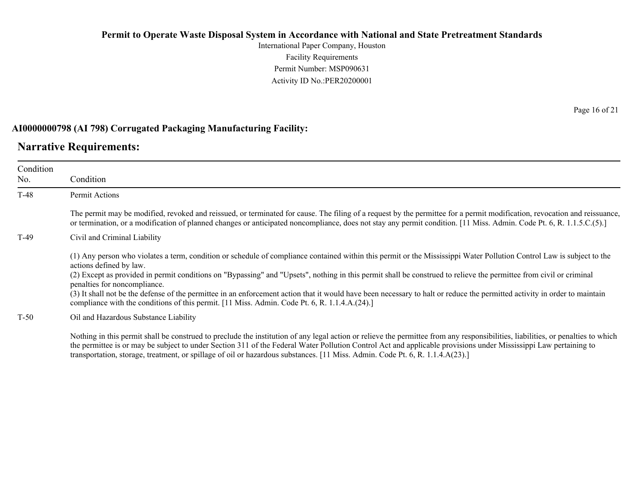International Paper Company, Houston Facility Requirements Permit Number: MSP090631 Activity ID No.:PER20200001

### **AI0000000798 (AI 798) Corrugated Packaging Manufacturing Facility:**

### **Narrative Requirements:**

| Condition<br>No. | Condition                                                                                                                                                                                                                                                                                                                                                                                                                                                                                                                                                                                                                                                                            |  |  |
|------------------|--------------------------------------------------------------------------------------------------------------------------------------------------------------------------------------------------------------------------------------------------------------------------------------------------------------------------------------------------------------------------------------------------------------------------------------------------------------------------------------------------------------------------------------------------------------------------------------------------------------------------------------------------------------------------------------|--|--|
| $T-48$           | Permit Actions                                                                                                                                                                                                                                                                                                                                                                                                                                                                                                                                                                                                                                                                       |  |  |
|                  | The permit may be modified, revoked and reissued, or terminated for cause. The filing of a request by the permittee for a permit modification, revocation and reissuance,<br>or termination, or a modification of planned changes or anticipated noncompliance, does not stay any permit condition. [11 Miss. Admin. Code Pt. 6, R. 1.1.5.C.(5).]                                                                                                                                                                                                                                                                                                                                    |  |  |
| $T-49$           | Civil and Criminal Liability                                                                                                                                                                                                                                                                                                                                                                                                                                                                                                                                                                                                                                                         |  |  |
|                  | (1) Any person who violates a term, condition or schedule of compliance contained within this permit or the Mississippi Water Pollution Control Law is subject to the<br>actions defined by law.<br>(2) Except as provided in permit conditions on "Bypassing" and "Upsets", nothing in this permit shall be construed to relieve the permittee from civil or criminal<br>penalties for noncompliance.<br>(3) It shall not be the defense of the permittee in an enforcement action that it would have been necessary to halt or reduce the permitted activity in order to maintain<br>compliance with the conditions of this permit. [11 Miss. Admin. Code Pt. 6, R. 1.1.4.A.(24).] |  |  |
| $T-50$           | Oil and Hazardous Substance Liability                                                                                                                                                                                                                                                                                                                                                                                                                                                                                                                                                                                                                                                |  |  |
|                  | Nothing in this permit shall be construed to preclude the institution of any legal action or relieve the permittee from any responsibilities, liabilities, or penalties to which<br>the normattee is an mer; he subject to under Section 211 of the Eadam! Water Dellution Central Act and annivelable meeting under Missionai Lew northining to                                                                                                                                                                                                                                                                                                                                     |  |  |

the permittee is or may be subject to under Section 311 of the Federal Water Pollution Control Act and applicable provisions under Mississippi Law pertaining to transportation, storage, treatment, or spillage of oil or hazardous substances. [11 Miss. Admin. Code Pt. 6, R. 1.1.4.A(23).]

Page 16 of 21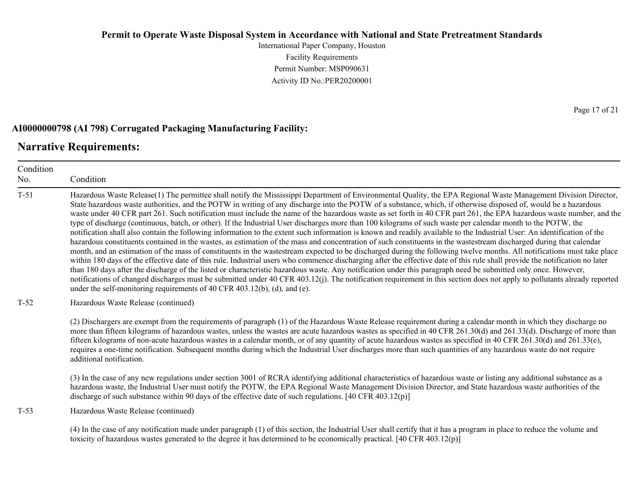International Paper Company, Houston Facility Requirements Permit Number: MSP090631 Activity ID No.:PER20200001

### **AI0000000798 (AI 798) Corrugated Packaging Manufacturing Facility:**

### **Narrative Requirements:**

Condition No. Condition T-51 Hazardous Waste Release(1) The permittee shall notify the Mississippi Department of Environmental Quality, the EPA Regional Waste Management Division Director, State hazardous waste authorities, and the POTW in writing of any discharge into the POTW of a substance, which, if otherwise disposed of, would be a hazardous waste under 40 CFR part 261. Such notification must include the name of the hazardous waste as set forth in 40 CFR part 261, the EPA hazardous waste number, and the type of discharge (continuous, batch, or other). If the Industrial User discharges more than 100 kilograms of such waste per calendar month to the POTW, the notification shall also contain the following information to the extent such information is known and readily available to the Industrial User: An identification of the hazardous constituents contained in the wastes, as estimation of the mass and concentration of such constituents in the wastestream discharged during that calendar month, and an estimation of the mass of constituents in the wastestream expected to be discharged during the following twelve months. All notifications must take place within 180 days of the effective date of this rule. Industrial users who commence discharging after the effective date of this rule shall provide the notification no later than 180 days after the discharge of the listed or characteristic hazardous waste. Any notification under this paragraph need be submitted only once. However, notifications of changed discharges must be submitted under 40 CFR 403.12(j). The notification requirement in this section does not apply to pollutants already reported under the self-monitoring requirements of 40 CFR 403.12(b), (d), and (e). T-52 Hazardous Waste Release (continued) (2) Dischargers are exempt from the requirements of paragraph (1) of the Hazardous Waste Release requirement during a calendar month in which they discharge no more than fifteen kilograms of hazardous wastes, unless the wastes are acute hazardous wastes as specified in 40 CFR 261.30(d) and 261.33(d). Discharge of more than fifteen kilograms of non-acute hazardous wastes in a calendar month, or of any quantity of acute hazardous wastes as specified in 40 CFR 261.30(d) and 261.33(e), requires a one-time notification. Subsequent months during which the Industrial User discharges more than such quantities of any hazardous waste do not require additional notification. (3) In the case of any new regulations under section 3001 of RCRA identifying additional characteristics of hazardous waste or listing any additional substance as a hazardous waste, the Industrial User must notify the POTW, the EPA Regional Waste Management Division Director, and State hazardous waste authorities of the discharge of such substance within 90 days of the effective date of such regulations. [40 CFR 403.12(p)] T-53 Hazardous Waste Release (continued) (4) In the case of any notification made under paragraph (1) of this section, the Industrial User shall certify that it has a program in place to reduce the volume and toxicity of hazardous wastes generated to the degree it has determined to be economically practical. [40 CFR 403.12(p)]

Page 17 of 21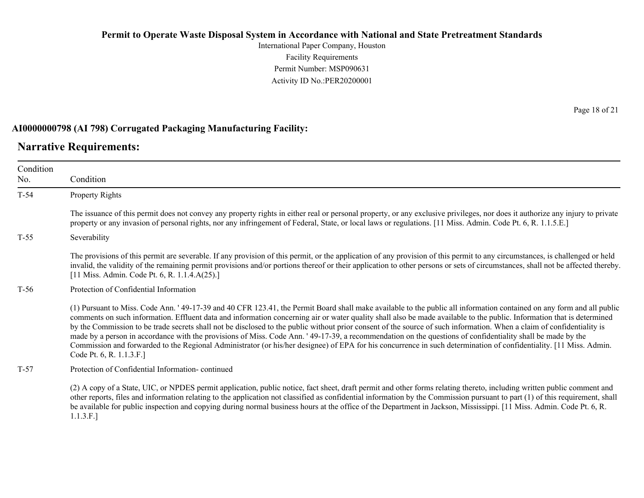International Paper Company, Houston Facility Requirements Permit Number: MSP090631 Activity ID No.:PER20200001

### **AI0000000798 (AI 798) Corrugated Packaging Manufacturing Facility:**

### **Narrative Requirements:**

Condition No. Condition T-54 Property Rights The issuance of this permit does not convey any property rights in either real or personal property, or any exclusive privileges, nor does it authorize any injury to private property or any invasion of personal rights, nor any infringement of Federal, State, or local laws or regulations. [11 Miss. Admin. Code Pt. 6, R. 1.1.5.E.] T-55 Severability The provisions of this permit are severable. If any provision of this permit, or the application of any provision of this permit to any circumstances, is challenged or held invalid, the validity of the remaining permit provisions and/or portions thereof or their application to other persons or sets of circumstances, shall not be affected thereby. [11 Miss. Admin. Code Pt. 6, R. 1.1.4.A(25).] T-56 Protection of Confidential Information (1) Pursuant to Miss. Code Ann. ' 49-17-39 and 40 CFR 123.41, the Permit Board shall make available to the public all information contained on any form and all public comments on such information. Effluent data and information concerning air or water quality shall also be made available to the public. Information that is determined by the Commission to be trade secrets shall not be disclosed to the public without prior consent of the source of such information. When a claim of confidentiality is made by a person in accordance with the provisions of Miss. Code Ann. ' 49-17-39, a recommendation on the questions of confidentiality shall be made by the Commission and forwarded to the Regional Administrator (or his/her designee) of EPA for his concurrence in such determination of confidentiality. [11 Miss. Admin. Code Pt. 6, R. 1.1.3.F.] T-57 Protection of Confidential Information- continued (2) A copy of a State, UIC, or NPDES permit application, public notice, fact sheet, draft permit and other forms relating thereto, including written public comment and

other reports, files and information relating to the application not classified as confidential information by the Commission pursuant to part (1) of this requirement, shall be available for public inspection and copying during normal business hours at the office of the Department in Jackson, Mississippi. [11 Miss. Admin. Code Pt. 6, R. 1.1.3.F.]

Page 18 of 21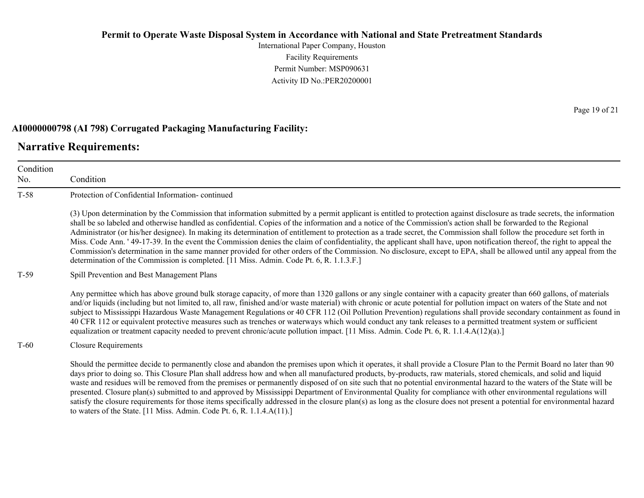International Paper Company, Houston Facility Requirements Permit Number: MSP090631 Activity ID No.:PER20200001

### **AI0000000798 (AI 798) Corrugated Packaging Manufacturing Facility:**

### **Narrative Requirements:**

Condition No. Condition T-58 Protection of Confidential Information- continued (3) Upon determination by the Commission that information submitted by a permit applicant is entitled to protection against disclosure as trade secrets, the information shall be so labeled and otherwise handled as confidential. Copies of the information and a notice of the Commission's action shall be forwarded to the Regional Administrator (or his/her designee). In making its determination of entitlement to protection as a trade secret, the Commission shall follow the procedure set forth in Miss. Code Ann. ' 49-17-39. In the event the Commission denies the claim of confidentiality, the applicant shall have, upon notification thereof, the right to appeal the Commission's determination in the same manner provided for other orders of the Commission. No disclosure, except to EPA, shall be allowed until any appeal from the determination of the Commission is completed. [11 Miss. Admin. Code Pt. 6, R. 1.1.3.F.] T-59 Spill Prevention and Best Management Plans Any permittee which has above ground bulk storage capacity, of more than 1320 gallons or any single container with a capacity greater than 660 gallons, of materials and/or liquids (including but not limited to, all raw, finished and/or waste material) with chronic or acute potential for pollution impact on waters of the State and not subject to Mississippi Hazardous Waste Management Regulations or 40 CFR 112 (Oil Pollution Prevention) regulations shall provide secondary containment as found in 40 CFR 112 or equivalent protective measures such as trenches or waterways which would conduct any tank releases to a permitted treatment system or sufficient equalization or treatment capacity needed to prevent chronic/acute pollution impact. [11 Miss. Admin. Code Pt. 6, R. 1.1.4.A(12)(a).] T-60 Closure Requirements Should the permittee decide to permanently close and abandon the premises upon which it operates, it shall provide a Closure Plan to the Permit Board no later than 90 days prior to doing so. This Closure Plan shall address how and when all manufactured products, by-products, raw materials, stored chemicals, and solid and liquid waste and residues will be removed from the premises or permanently disposed of on site such that no potential environmental hazard to the waters of the State will be presented. Closure plan(s) submitted to and approved by Mississippi Department of Environmental Quality for compliance with other environmental regulations will satisfy the closure requirements for those items specifically addressed in the closure plan(s) as long as the closure does not present a potential for environmental hazard

to waters of the State. [11 Miss. Admin. Code Pt. 6, R. 1.1.4.A(11).]

Page 19 of 21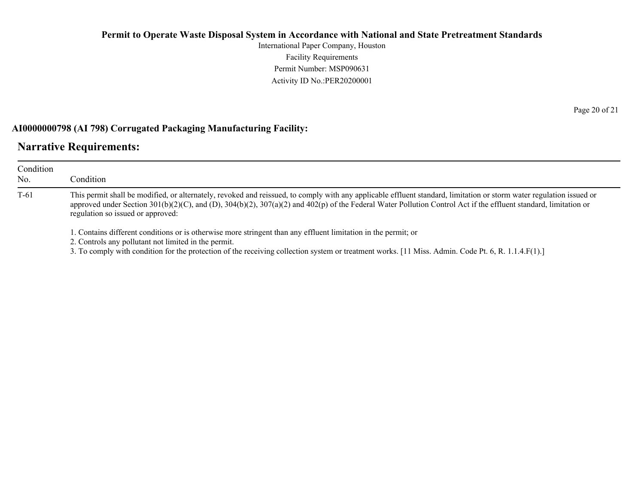International Paper Company, Houston Facility Requirements Permit Number: MSP090631 Activity ID No.:PER20200001

### **AI0000000798 (AI 798) Corrugated Packaging Manufacturing Facility:**

### **Narrative Requirements:**

| Condition<br>No. | Condition                                                                                                                                                                                                                                                                                                                                                                     |  |
|------------------|-------------------------------------------------------------------------------------------------------------------------------------------------------------------------------------------------------------------------------------------------------------------------------------------------------------------------------------------------------------------------------|--|
| $T-61$           | This permit shall be modified, or alternately, revoked and reissued, to comply with any applicable effluent standard, limitation or storm water regulation issued or<br>approved under Section 301(b)(2)(C), and (D), 304(b)(2), 307(a)(2) and 402(p) of the Federal Water Pollution Control Act if the effluent standard, limitation or<br>regulation so issued or approved: |  |
|                  | 1. Contains different conditions or is otherwise more stringent than any effluent limitation in the permit; or<br>2. Controls any pollutant not limited in the permit.<br>3. To comply with condition for the protection of the receiving collection system or treatment works. [11 Miss. Admin. Code Pt. 6, R. 1.1.4.F(1).]                                                  |  |

Page 20 of 21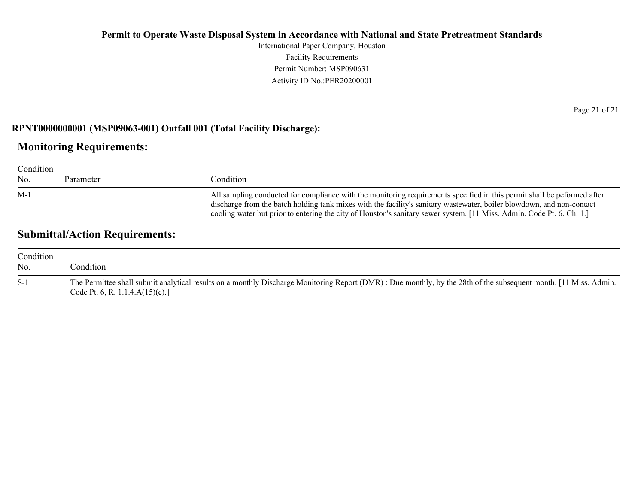International Paper Company, Houston Facility Requirements Permit Number: MSP090631 Activity ID No.:PER20200001

### **RPNT0000000001 (MSP09063-001) Outfall 001 (Total Facility Discharge):**

### **Monitoring Requirements:**

| Condition |           |                                                                                                                                                                                                                                                                                                                                                                            |  |
|-----------|-----------|----------------------------------------------------------------------------------------------------------------------------------------------------------------------------------------------------------------------------------------------------------------------------------------------------------------------------------------------------------------------------|--|
| No.       | Parameter | Condition                                                                                                                                                                                                                                                                                                                                                                  |  |
| $M-1$     |           | All sampling conducted for compliance with the monitoring requirements specified in this permit shall be peformed after<br>discharge from the batch holding tank mixes with the facility's sanitary was tewater, boiler blowdown, and non-contact<br>cooling water but prior to entering the city of Houston's sanitary sewer system. [11 Miss. Admin. Code Pt. 6. Ch. 1.] |  |

## **Submittal/Action Requirements:**

| Condition |                                                                                                                                                                                                         |
|-----------|---------------------------------------------------------------------------------------------------------------------------------------------------------------------------------------------------------|
| No.       | Condition:                                                                                                                                                                                              |
| $S-1$     | The Permittee shall submit analytical results on a monthly Discharge Monitoring Report (DMR): Due monthly, by the 28th of the subsequent month. [11 Miss. Admin.<br>Code Pt. 6, R. 1.1.4. $A(15)(c)$ .] |

Page 21 of 21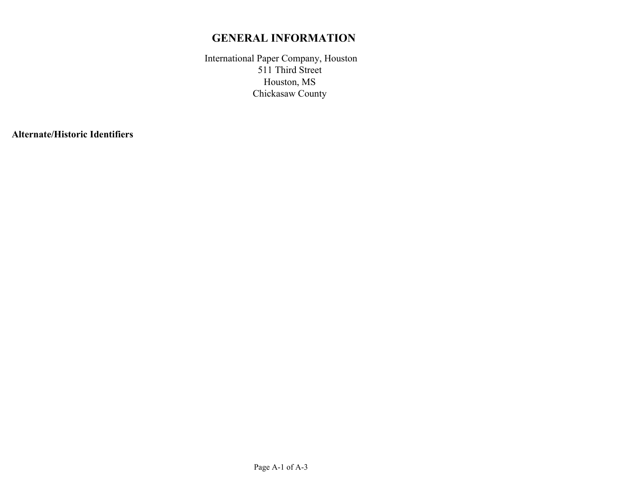## **GENERAL INFORMATION**

International Paper Company, Houston Houston, MS Chickasaw County 511 Third Street

**Alternate/Historic Identifiers**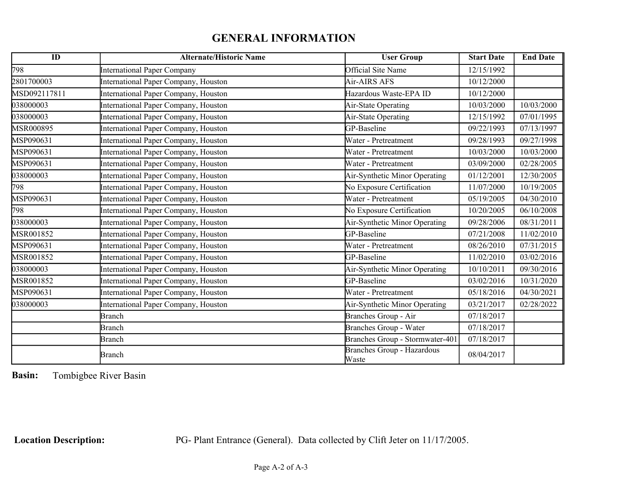# **GENERAL INFORMATION**

| ID           | <b>Alternate/Historic Name</b>       | <b>User Group</b>                   | <b>Start Date</b> | <b>End Date</b> |
|--------------|--------------------------------------|-------------------------------------|-------------------|-----------------|
| 798          | International Paper Company          | Official Site Name                  | 12/15/1992        |                 |
| 2801700003   | International Paper Company, Houston | Air-AIRS AFS                        | 10/12/2000        |                 |
| MSD092117811 | International Paper Company, Houston | Hazardous Waste-EPA ID              | 10/12/2000        |                 |
| 038000003    | International Paper Company, Houston | Air-State Operating                 | 10/03/2000        | 10/03/2000      |
| 038000003    | International Paper Company, Houston | Air-State Operating                 | 12/15/1992        | 07/01/1995      |
| MSR000895    | International Paper Company, Houston | GP-Baseline                         | 09/22/1993        | 07/13/1997      |
| MSP090631    | International Paper Company, Houston | Water - Pretreatment                | 09/28/1993        | 09/27/1998      |
| MSP090631    | International Paper Company, Houston | Water - Pretreatment                | 10/03/2000        | 10/03/2000      |
| MSP090631    | International Paper Company, Houston | Water - Pretreatment                | 03/09/2000        | 02/28/2005      |
| 038000003    | International Paper Company, Houston | Air-Synthetic Minor Operating       | 01/12/2001        | 12/30/2005      |
| 798          | International Paper Company, Houston | No Exposure Certification           | 11/07/2000        | 10/19/2005      |
| MSP090631    | International Paper Company, Houston | Water - Pretreatment                | 05/19/2005        | 04/30/2010      |
| 798          | International Paper Company, Houston | No Exposure Certification           | 10/20/2005        | 06/10/2008      |
| 038000003    | International Paper Company, Houston | Air-Synthetic Minor Operating       | 09/28/2006        | 08/31/2011      |
| MSR001852    | International Paper Company, Houston | GP-Baseline                         | 07/21/2008        | 11/02/2010      |
| MSP090631    | International Paper Company, Houston | Water - Pretreatment                | 08/26/2010        | 07/31/2015      |
| MSR001852    | International Paper Company, Houston | GP-Baseline                         | 11/02/2010        | 03/02/2016      |
| 038000003    | International Paper Company, Houston | Air-Synthetic Minor Operating       | 10/10/2011        | 09/30/2016      |
| MSR001852    | International Paper Company, Houston | GP-Baseline                         | 03/02/2016        | 10/31/2020      |
| MSP090631    | International Paper Company, Houston | Water - Pretreatment                | 05/18/2016        | 04/30/2021      |
| 038000003    | International Paper Company, Houston | Air-Synthetic Minor Operating       | 03/21/2017        | 02/28/2022      |
|              | <b>Branch</b>                        | Branches Group - Air                | 07/18/2017        |                 |
|              | <b>Branch</b>                        | Branches Group - Water              | 07/18/2017        |                 |
|              | <b>Branch</b>                        | Branches Group - Stormwater-401     | 07/18/2017        |                 |
|              | Branch                               | Branches Group - Hazardous<br>Waste | 08/04/2017        |                 |

**Basin:** Tombigbee River Basin

**Location Description:** PG- Plant Entrance (General). Data collected by Clift Jeter on 11/17/2005.